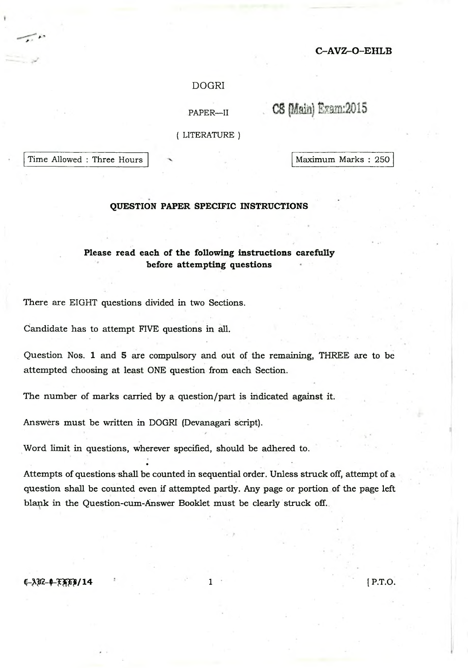## **C -A V Z -O -E H L B**

## DOGRI

PAPER—II

CS (Main) Exam: 2015

( LITERATURE )

Time Allowed : Three Hours Maximum Marks : 250

## **QUESTION PAPER SPECIFIC INSTRUCTIONS**

# **Please read each of the following instructions carefully before attempting questions**

There are EIGHT questions divided in two Sections.

Candidate has to attempt FIVE questions in all.

Question Nos. 1 and 5 are compulsory and out of the remaining, THREE are to be attempted choosing at least ONE question from each Section.

The number of marks carried by a question/part is indicated against it.

Answers must be written in DOGRI (Devanagari script).

•

Word limit in questions, wherever specified, should be adhered to.

Attempts of questions shall be counted in sequential order. Unless struck off, attempt of a question shall be counted even if attempted partly. Any page or portion of the page left blank in the Question-cum-Answer Booklet must be clearly struck off.

*q -m -Q -m w* / 14 i [ P.T.O.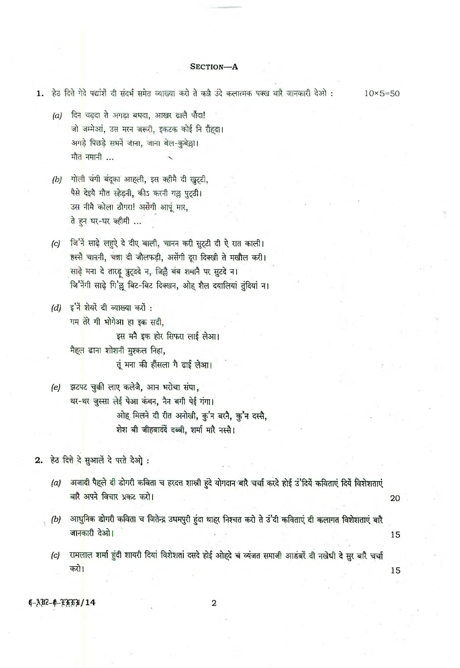### SECTION-A

- 1. हेठ दित्ते गेदे पद्यांशें दी संदर्भ समेत व्याख्या करो ते कन्नै उंदे कलात्मक पक्ख बारै जानकारी देओ :  $10\times 5 = 50$ 
	- दिन चढ़दा ते अगड़ा बधदा, आखर ढालै पौदा!  $(a)$ जो जम्मेआ, उस मरन जरूरी, इकटक कोई नि रौंहदा। अगड़े पिछड़े सभनें जाना, जाना बेल-कुबेल्ला। मौत नमानी ...
	- (b) गोली चंगी बंदूका आहली, इस क्हीमै दी खुट्टी, पैसे देइये मौत स्हेड्नी, कीऽ करनी गल्लु पुट्ठी। उस नीमै कोला ठौगरा! अर्सेगी आपूं मार, ते हुन घर-घर क्हीमी ...
	- जि'नें साढ़े लहुऐ दे दीए बाली, चानन करी सुट्टी दी ऐ रात काली।  $(c)$ हस्से चाननी, चन्ना दी जौलफड़ी, असेंगी दूरा दिक्खी ते मखौल करी। साढ़े मना दे तारड़ त्रुट्ददे न, जिल्लै बंब शभानै पर सुटदे न। जि'नेगी साढ़े गि'ल्लू बिट-बिट दिक्खन, ओह शैल दयालियां तुंदियां न।
	- $(d)$  इ'ने शेयरें दी व्याख्या करों: गम तेरे गी भोगेआ हा इक सदी, इस मनै इक होर सिफरा लाई लेआ। मैह्ल ढाना शोशनी मुश्कल निहा, तूं मना की हौंसला गै ढाई लेआ।
	- झटपट चुकी लाए कलेजै, आन भरोचा संघा,  $(e)$ थर-थर जुस्सा लेई पेआ कंबन, नैन बगी पेई गंगा। ओह मिलने दी रीत अनोखी, कु'न बरनै, कु'न दस्सै, शेश बी जीहबादंदें दब्बी, शर्मा मारै नस्सै।
- 2. हेठ दित्ते दे सुआलें दे परते देओ :
	- (a) अजादी पैहले दी डोगरी कविता च हरदत्त शास्त्री हुंदे योगदान बारै चर्चा करदे होई उ'दिये कविताएं दिये विशेशताएं बारै अपने विचार प्रकट करो। 20
	- (b) आधुनिक डोगरी कविता च जितेन्द्र उधमपुरी हुंदा थाहर निश्चत करो ते उं'दी कविताएं दी कलागत विशेशताएं बारै जानकारी देओ।

15

15

(c) रामलाल शर्मा हुंदी शायरी दियां विशेशतां दसदे होई ओहदे च व्यंजत समाजी आडंबरें दी नखेधी दे सुर बारै चर्चा करो।

**0-AB2-0-FATB/14** 

 $\mathbf 2$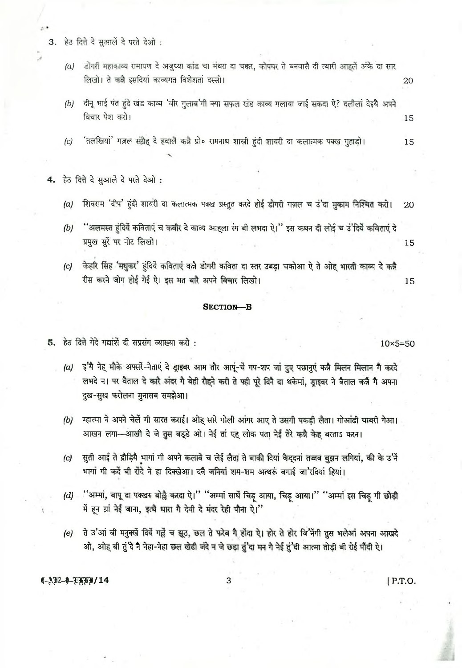3. हेठ दित्ते दे सुआलें दे परते देओ:

- डोंगरी महाकाव्य रामायण दे अजुध्या कांड चा मंथरा दा चक्कर, कोपघर ते बनवासै दी त्यारी आहलें अर्के दा सार  $(a)$ लिखो। ते कन्नै इसदियां काव्यगत विशेशतां दस्सो।
- दीनू भाई पंत हुंदे खंड काव्य 'वीर गुलाब'गी क्या सफल खंड काव्य गलाया जाई सकदा ऐ? दलीलां देइये अपने  $(b)$ विचार पेश करो। 15
- 'तलखियां' गज़ल संग्रैह दे हवालै कन्नै प्रो० रामनाथ शास्त्री हंदी शायरी दा कलात्मक पक्ख गुहाड़ो।  $\left( c \right)$ 15

हेठ दित्ते दे सुआर्ले दे परते देओ : 4.

- शिवराम 'दीप' हंदी शायरी दा कलात्मक पक्ख प्रस्तुत करदे होई डोगरी गज़ल च उं'दा मुकाम निश्चित करो।  $(a)$ 20
- ''अलमस्त हुंदियें कविताएं च कबीर दे काव्य आहला रंग बी लभदा ऐ।'' इस कथन दी लोई च उं'दियें कविताएं दे  $(b)$ प्रमुख सुरें पर नोट लिखो। 15
- केहरि सिंह 'मधुकर' हुंदियें कविताएं कन्नै डोगरी कविता दा स्तर उबड़ा चकोआ ऐ ते ओह भारती काव्य दे कन्नै  $|c|$ रीस करने जोग होई गेई ऐ। इस मत बारै अपने विचार लिखो। 15

#### **SECTION-B**

5. हेठ दित्ते गेदे गद्यार्शे दी सप्रसंग व्याख्या करो :

- (a) इ'ये नेह मौके अफ्सरें-नेताएं दे ड्राइवर आम तौर आपूं-चें गप-शप जा दुए पछानुएं कन्नै मिलन मिलान गै करदे लभदे न। पर वैताल दे कारै अंदर गै बेही रौहने करी ते फ्ही पूरे दिनै दा थकेमा, ड्राइवर ने बैताल कन्नै गै अपना दुख-सुख फरोलना मुनासब समझेआ।
- म्हात्मा ने अपने चेर्ले गी सारत कराई। ओह सारे गोली आंगर आए ते उसगी पकड़ी लैता। गोआढी घाबरी गेआ।  $(b)$ आखन लगा-आखी दे जे तुस बड्डे ओ। नेई तां एह लोक पता नेई तेरे कन्नै केह बरताऽ करन।
- सुती आई ते द्रौड़िये भागां गी अपने कलावे च लेई लैता ते बाकी दियां कैद्दनां तज्जब बुझन लगियां, की के उ'नें  $(c)$ भागा गी कर्दे बी रोंदे ने हा दिक्खेआ। दर्वै जनियां शम-शम अत्थरूं बगाई जा'रदियां हियां।
- "अम्मां, बापू दा पक्खरु बोह्रै करदा ऐ।" "अम्मां साथें चिट् आया, चिट् आया।" "अम्मां इस चिट्टू गी छोड़ी  $(d)$ में हन ग्रां नेई जाना, इत्थै धारा गै देवी दे मंदर रेही पौना ऐ।"
- ते उ'आं बी मनुक्खें दियें गर्हे च झूठ, छल ते फरेब गै होंदा ऐ। होर ते होर जि'नेंगी तुस भलेआं अपना आखदे  $(e)$ ओ, ओह बी तुं'दे नै नेहा-नेहा छल खेढी जंदे न जे छड़ा तुं'दा मन गै नेई तुं'दी आत्मा तोड़ी बी रोई पौंदी ऐ।

3

 $(1-3)22-0-7779/14$ 

[P.T.O.

 $10\times5=50$ 

20